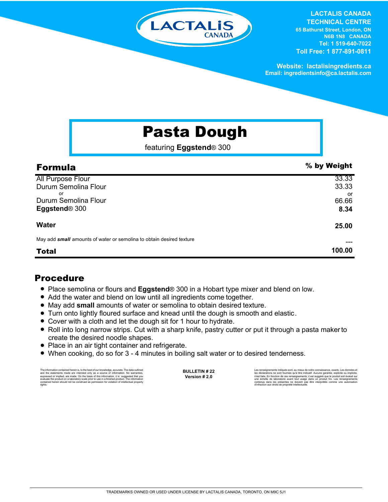

**LACTALIS CANADA TECHNICAL CENTRE 65 Bathurst Street, London, ON N6B 1N8 CANADA Tel: 1 519-640-7022 Toll Free: 1 877-891-0811**

**Website: lactalisingredients.ca Email: ingredientsinfo@ca.lactalis.com**

## Pasta Dough

featuring **Eggstend**® 300

| <b>Formula</b>                                                       | % by Weight |
|----------------------------------------------------------------------|-------------|
| <b>All Purpose Flour</b>                                             | 33.33       |
| Durum Semolina Flour                                                 | 33.33       |
| or<br>Durum Semolina Flour                                           | or<br>66.66 |
| Eggstend <sup>®</sup> 300                                            | 8.34        |
| <b>Water</b>                                                         | 25.00       |
| May add small amounts of water or semolina to obtain desired texture |             |
| <b>Total</b>                                                         | 100.00      |

## Procedure

- Place semolina or flours and **Eggstend**® 300 in a Hobart type mixer and blend on low.
- Add the water and blend on low until all ingredients come together.
- = May add **small** amounts of water or semolina to obtain desired texture.
- = Turn onto lightly floured surface and knead until the dough is smooth and elastic.
- Cover with a cloth and let the dough sit for 1 hour to hydrate.
- Roll into long narrow strips. Cut with a sharp knife, pastry cutter or put it through a pasta makerto create the desired noodle shapes.
- Place in an air tight container and refrigerate.
- When cooking, do so for 3 4 minutes in boiling salt water or to desired tenderness.

The information contained herein is, to the best of our knowledge, accurate. The data outlined the statements made are intended only as a source of information. No warranties, expressed or implied, are made. On the basis o

**BULLETIN # 22 Version # 2.0**

Les renseignements indiqués sont, au mieux de notre connaissance, exacts. Les données et<br>les déclarations ne sont fournies qu'à titre indicalif. Aucune garantie, explicite ou implicite,<br>n'est faite. En fonction de ces rens contenus dans les présentes ne doivent pas être interprétés comme une autorisation d'infraction aux droits de propriété intellectuelle.